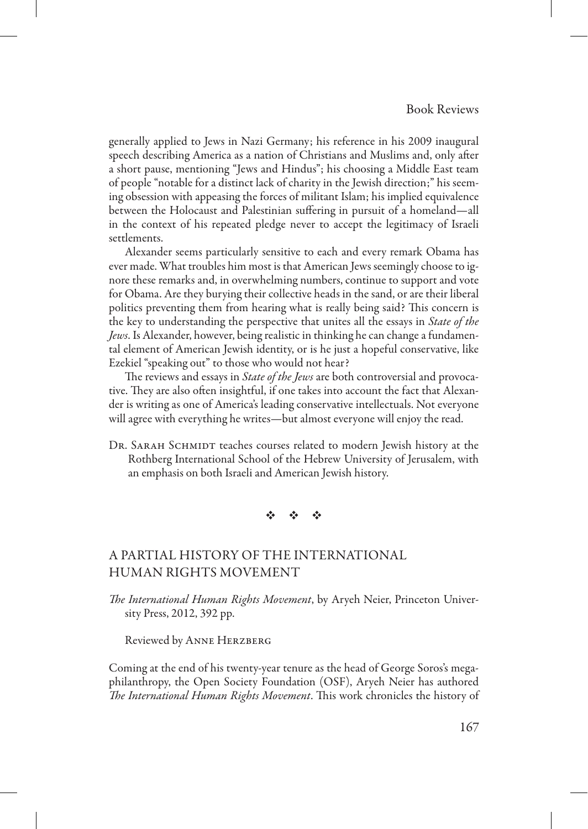generally applied to Jews in Nazi Germany; his reference in his 2009 inaugural speech describing America as a nation of Christians and Muslims and, only after a short pause, mentioning "Jews and Hindus"; his choosing a Middle East team of people "notable for a distinct lack of charity in the Jewish direction;" his seeming obsession with appeasing the forces of militant Islam; his implied equivalence between the Holocaust and Palestinian suffering in pursuit of a homeland—all in the context of his repeated pledge never to accept the legitimacy of Israeli settlements.

Alexander seems particularly sensitive to each and every remark Obama has ever made. What troubles him most is that American Jews seemingly choose to ignore these remarks and, in overwhelming numbers, continue to support and vote for Obama. Are they burying their collective heads in the sand, or are their liberal politics preventing them from hearing what is really being said? This concern is the key to understanding the perspective that unites all the essays in *State of the Jews*. Is Alexander, however, being realistic in thinking he can change a fundamental element of American Jewish identity, or is he just a hopeful conservative, like Ezekiel "speaking out" to those who would not hear?

The reviews and essays in *State of the Jews* are both controversial and provocative. They are also often insightful, if one takes into account the fact that Alexander is writing as one of America's leading conservative intellectuals. Not everyone will agree with everything he writes—but almost everyone will enjoy the read.

DR. SARAH SCHMIDT teaches courses related to modern Jewish history at the Rothberg International School of the Hebrew University of Jerusalem, with an emphasis on both Israeli and American Jewish history.

※ ※ ※

# A Partial History of the International Human Rights Movement

*The International Human Rights Movement*, by Aryeh Neier, Princeton University Press, 2012, 392 pp.

Reviewed by Anne Herzberg

Coming at the end of his twenty-year tenure as the head of George Soros's megaphilanthropy, the Open Society Foundation (OSF), Aryeh Neier has authored *The International Human Rights Movement*. This work chronicles the history of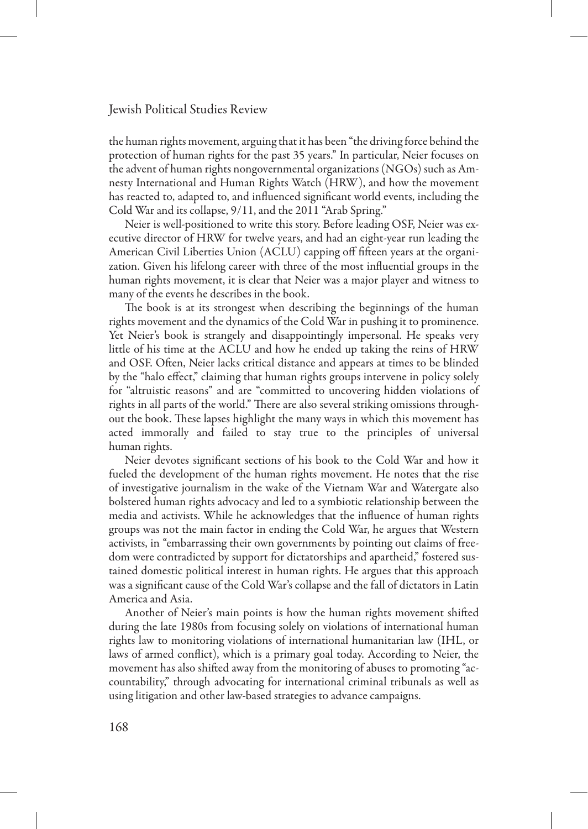### Jewish Political Studies Review

the human rights movement, arguing that it has been "the driving force behind the protection of human rights for the past 35 years." In particular, Neier focuses on the advent of human rights nongovernmental organizations (NGOs) such as Amnesty International and Human Rights Watch (HRW), and how the movement has reacted to, adapted to, and influenced significant world events, including the Cold War and its collapse, 9/11, and the 2011 "Arab Spring."

Neier is well-positioned to write this story. Before leading OSF, Neier was executive director of HRW for twelve years, and had an eight-year run leading the American Civil Liberties Union (ACLU) capping off fifteen years at the organization. Given his lifelong career with three of the most influential groups in the human rights movement, it is clear that Neier was a major player and witness to many of the events he describes in the book.

The book is at its strongest when describing the beginnings of the human rights movement and the dynamics of the Cold War in pushing it to prominence. Yet Neier's book is strangely and disappointingly impersonal. He speaks very little of his time at the ACLU and how he ended up taking the reins of HRW and OSF. Often, Neier lacks critical distance and appears at times to be blinded by the "halo effect," claiming that human rights groups intervene in policy solely for "altruistic reasons" and are "committed to uncovering hidden violations of rights in all parts of the world." There are also several striking omissions throughout the book. These lapses highlight the many ways in which this movement has acted immorally and failed to stay true to the principles of universal human rights.

Neier devotes significant sections of his book to the Cold War and how it fueled the development of the human rights movement. He notes that the rise of investigative journalism in the wake of the Vietnam War and Watergate also bolstered human rights advocacy and led to a symbiotic relationship between the media and activists. While he acknowledges that the influence of human rights groups was not the main factor in ending the Cold War, he argues that Western activists, in "embarrassing their own governments by pointing out claims of freedom were contradicted by support for dictatorships and apartheid," fostered sustained domestic political interest in human rights. He argues that this approach was a significant cause of the Cold War's collapse and the fall of dictators in Latin America and Asia.

Another of Neier's main points is how the human rights movement shifted during the late 1980s from focusing solely on violations of international human rights law to monitoring violations of international humanitarian law (IHL, or laws of armed conflict), which is a primary goal today. According to Neier, the movement has also shifted away from the monitoring of abuses to promoting "accountability," through advocating for international criminal tribunals as well as using litigation and other law-based strategies to advance campaigns.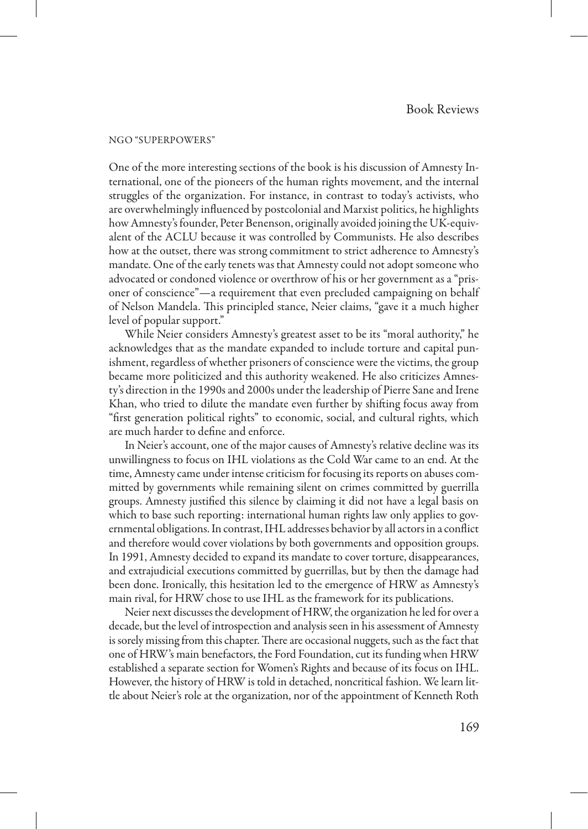#### NGO "Superpowers"

One of the more interesting sections of the book is his discussion of Amnesty International, one of the pioneers of the human rights movement, and the internal struggles of the organization. For instance, in contrast to today's activists, who are overwhelmingly influenced by postcolonial and Marxist politics, he highlights how Amnesty's founder, Peter Benenson, originally avoided joining the UK-equivalent of the ACLU because it was controlled by Communists. He also describes how at the outset, there was strong commitment to strict adherence to Amnesty's mandate. One of the early tenets was that Amnesty could not adopt someone who advocated or condoned violence or overthrow of his or her government as a "prisoner of conscience"—a requirement that even precluded campaigning on behalf of Nelson Mandela. This principled stance, Neier claims, "gave it a much higher level of popular support."

While Neier considers Amnesty's greatest asset to be its "moral authority," he acknowledges that as the mandate expanded to include torture and capital punishment, regardless of whether prisoners of conscience were the victims, the group became more politicized and this authority weakened. He also criticizes Amnesty's direction in the 1990s and 2000s under the leadership of Pierre Sane and Irene Khan, who tried to dilute the mandate even further by shifting focus away from "first generation political rights" to economic, social, and cultural rights, which are much harder to define and enforce.

In Neier's account, one of the major causes of Amnesty's relative decline was its unwillingness to focus on IHL violations as the Cold War came to an end. At the time, Amnesty came under intense criticism for focusing its reports on abuses committed by governments while remaining silent on crimes committed by guerrilla groups. Amnesty justified this silence by claiming it did not have a legal basis on which to base such reporting: international human rights law only applies to governmental obligations. In contrast, IHL addresses behavior by all actors in a conflict and therefore would cover violations by both governments and opposition groups. In 1991, Amnesty decided to expand its mandate to cover torture, disappearances, and extrajudicial executions committed by guerrillas, but by then the damage had been done. Ironically, this hesitation led to the emergence of HRW as Amnesty's main rival, for HRW chose to use IHL as the framework for its publications.

Neier next discusses the development of HRW, the organization he led for over a decade, but the level of introspection and analysis seen in his assessment of Amnesty is sorely missing from this chapter. There are occasional nuggets, such as the fact that one of HRW's main benefactors, the Ford Foundation, cut its funding when HRW established a separate section for Women's Rights and because of its focus on IHL. However, the history of HRW is told in detached, noncritical fashion. We learn little about Neier's role at the organization, nor of the appointment of Kenneth Roth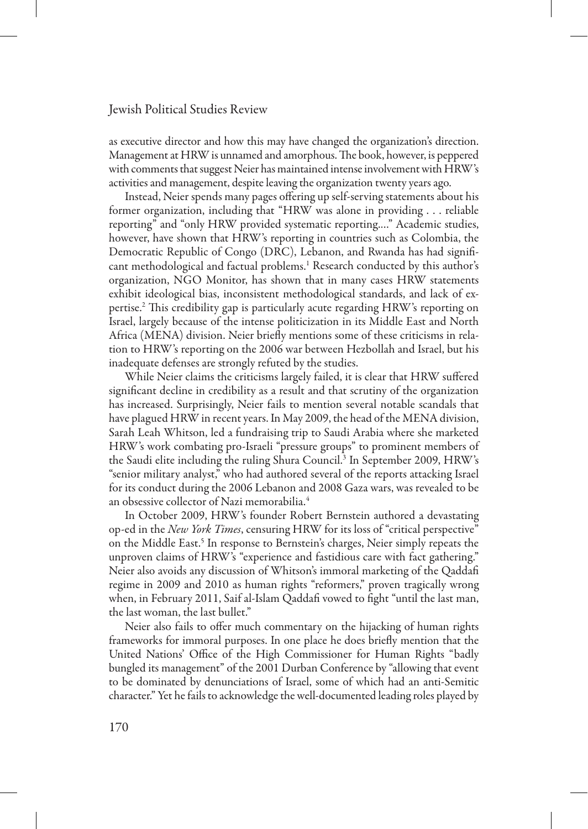### Jewish Political Studies Review

as executive director and how this may have changed the organization's direction. Management at HRW is unnamed and amorphous. The book, however, is peppered with comments that suggest Neier has maintained intense involvement with HRW's activities and management, despite leaving the organization twenty years ago.

Instead, Neier spends many pages offering up self-serving statements about his former organization, including that "HRW was alone in providing . . . reliable reporting" and "only HRW provided systematic reporting.…" Academic studies, however, have shown that HRW's reporting in countries such as Colombia, the Democratic Republic of Congo (DRC), Lebanon, and Rwanda has had significant methodological and factual problems.1 Research conducted by this author's organization, NGO Monitor, has shown that in many cases HRW statements exhibit ideological bias, inconsistent methodological standards, and lack of expertise.2 This credibility gap is particularly acute regarding HRW's reporting on Israel, largely because of the intense politicization in its Middle East and North Africa (MENA) division. Neier briefly mentions some of these criticisms in relation to HRW's reporting on the 2006 war between Hezbollah and Israel, but his inadequate defenses are strongly refuted by the studies.

While Neier claims the criticisms largely failed, it is clear that HRW suffered significant decline in credibility as a result and that scrutiny of the organization has increased. Surprisingly, Neier fails to mention several notable scandals that have plagued HRW in recent years. In May 2009, the head of the MENA division, Sarah Leah Whitson, led a fundraising trip to Saudi Arabia where she marketed HRW's work combating pro-Israeli "pressure groups" to prominent members of the Saudi elite including the ruling Shura Council.3 In September 2009, HRW's "senior military analyst," who had authored several of the reports attacking Israel for its conduct during the 2006 Lebanon and 2008 Gaza wars, was revealed to be an obsessive collector of Nazi memorabilia.4

In October 2009, HRW's founder Robert Bernstein authored a devastating op-ed in the *New York Times*, censuring HRW for its loss of "critical perspective" on the Middle East.<sup>5</sup> In response to Bernstein's charges, Neier simply repeats the unproven claims of HRW's "experience and fastidious care with fact gathering." Neier also avoids any discussion of Whitson's immoral marketing of the Qaddafi regime in 2009 and 2010 as human rights "reformers," proven tragically wrong when, in February 2011, Saif al-Islam Qaddafi vowed to fight "until the last man, the last woman, the last bullet."

Neier also fails to offer much commentary on the hijacking of human rights frameworks for immoral purposes. In one place he does briefly mention that the United Nations' Office of the High Commissioner for Human Rights "badly bungled its management" of the 2001 Durban Conference by "allowing that event to be dominated by denunciations of Israel, some of which had an anti-Semitic character." Yet he fails to acknowledge the well-documented leading roles played by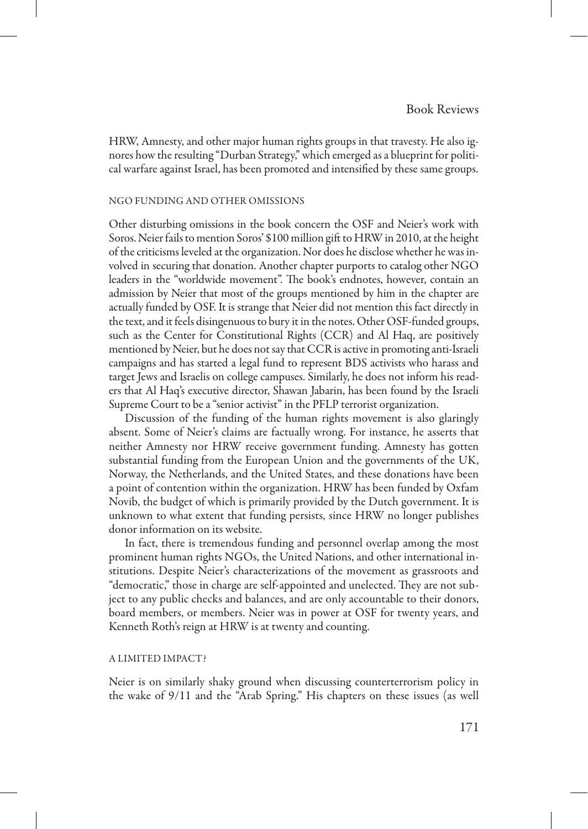HRW, Amnesty, and other major human rights groups in that travesty. He also ignores how the resulting "Durban Strategy," which emerged as a blueprint for political warfare against Israel, has been promoted and intensified by these same groups.

#### NGO Funding and Other Omissions

Other disturbing omissions in the book concern the OSF and Neier's work with Soros. Neier fails to mention Soros' \$100 million gift to HRW in 2010, at the height of the criticisms leveled at the organization. Nor does he disclose whether he was involved in securing that donation. Another chapter purports to catalog other NGO leaders in the "worldwide movement". The book's endnotes, however, contain an admission by Neier that most of the groups mentioned by him in the chapter are actually funded by OSF. It is strange that Neier did not mention this fact directly in the text, and it feels disingenuous to bury it in the notes. Other OSF-funded groups, such as the Center for Constitutional Rights (CCR) and Al Haq, are positively mentioned by Neier, but he does not say that CCR is active in promoting anti-Israeli campaigns and has started a legal fund to represent BDS activists who harass and target Jews and Israelis on college campuses. Similarly, he does not inform his readers that Al Haq's executive director, Shawan Jabarin, has been found by the Israeli Supreme Court to be a "senior activist" in the PFLP terrorist organization.

Discussion of the funding of the human rights movement is also glaringly absent. Some of Neier's claims are factually wrong. For instance, he asserts that neither Amnesty nor HRW receive government funding. Amnesty has gotten substantial funding from the European Union and the governments of the UK, Norway, the Netherlands, and the United States, and these donations have been a point of contention within the organization. HRW has been funded by Oxfam Novib, the budget of which is primarily provided by the Dutch government. It is unknown to what extent that funding persists, since HRW no longer publishes donor information on its website.

In fact, there is tremendous funding and personnel overlap among the most prominent human rights NGOs, the United Nations, and other international institutions. Despite Neier's characterizations of the movement as grassroots and "democratic," those in charge are self-appointed and unelected. They are not subject to any public checks and balances, and are only accountable to their donors, board members, or members. Neier was in power at OSF for twenty years, and Kenneth Roth's reign at HRW is at twenty and counting.

### A Limited Impact?

Neier is on similarly shaky ground when discussing counterterrorism policy in the wake of 9/11 and the "Arab Spring." His chapters on these issues (as well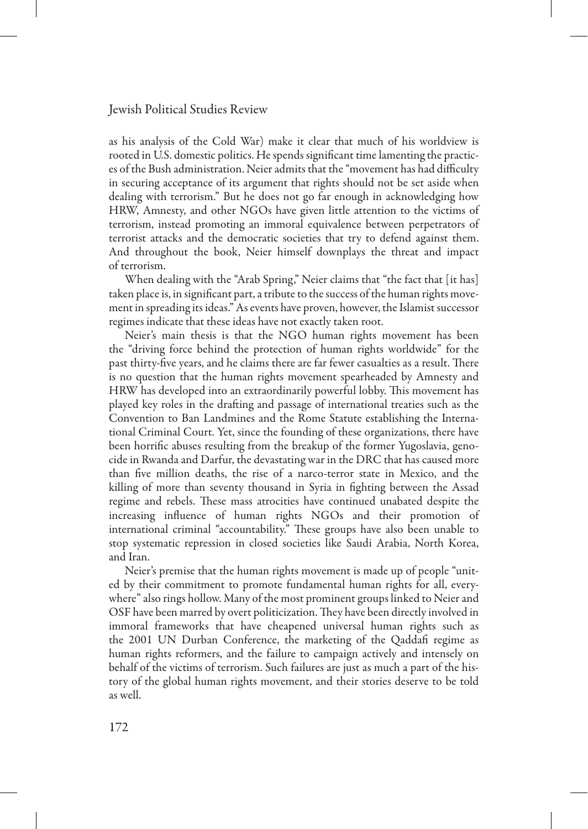### Jewish Political Studies Review

as his analysis of the Cold War) make it clear that much of his worldview is rooted in U.S. domestic politics. He spends significant time lamenting the practices of the Bush administration. Neier admits that the "movement has had difficulty in securing acceptance of its argument that rights should not be set aside when dealing with terrorism." But he does not go far enough in acknowledging how HRW, Amnesty, and other NGOs have given little attention to the victims of terrorism, instead promoting an immoral equivalence between perpetrators of terrorist attacks and the democratic societies that try to defend against them. And throughout the book, Neier himself downplays the threat and impact of terrorism.

When dealing with the "Arab Spring," Neier claims that "the fact that [it has] taken place is, in significant part, a tribute to the success of the human rights movement in spreading its ideas." As events have proven, however, the Islamist successor regimes indicate that these ideas have not exactly taken root.

Neier's main thesis is that the NGO human rights movement has been the "driving force behind the protection of human rights worldwide" for the past thirty-five years, and he claims there are far fewer casualties as a result. There is no question that the human rights movement spearheaded by Amnesty and HRW has developed into an extraordinarily powerful lobby. This movement has played key roles in the drafting and passage of international treaties such as the Convention to Ban Landmines and the Rome Statute establishing the International Criminal Court. Yet, since the founding of these organizations, there have been horrific abuses resulting from the breakup of the former Yugoslavia, genocide in Rwanda and Darfur, the devastating war in the DRC that has caused more than five million deaths, the rise of a narco-terror state in Mexico, and the killing of more than seventy thousand in Syria in fighting between the Assad regime and rebels. These mass atrocities have continued unabated despite the increasing influence of human rights NGOs and their promotion of international criminal "accountability." These groups have also been unable to stop systematic repression in closed societies like Saudi Arabia, North Korea, and Iran.

Neier's premise that the human rights movement is made up of people "united by their commitment to promote fundamental human rights for all, everywhere" also rings hollow. Many of the most prominent groups linked to Neier and OSF have been marred by overt politicization. They have been directly involved in immoral frameworks that have cheapened universal human rights such as the 2001 UN Durban Conference, the marketing of the Qaddafi regime as human rights reformers, and the failure to campaign actively and intensely on behalf of the victims of terrorism. Such failures are just as much a part of the history of the global human rights movement, and their stories deserve to be told as well.